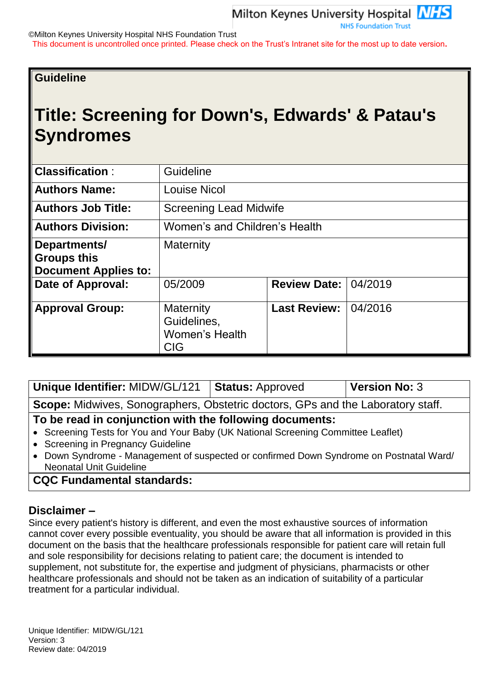©Milton Keynes University Hospital NHS Foundation Trust

This document is uncontrolled once printed. Please check on the Trust's Intranet site for the most up to date version**.**

## **Guideline**

# **Title: Screening for Down's, Edwards' & Patau's Syndromes**

| <b>Classification:</b>                                            | Guideline                                                       |                       |         |  |  |
|-------------------------------------------------------------------|-----------------------------------------------------------------|-----------------------|---------|--|--|
| <b>Authors Name:</b>                                              | <b>Louise Nicol</b>                                             |                       |         |  |  |
| <b>Authors Job Title:</b>                                         | <b>Screening Lead Midwife</b>                                   |                       |         |  |  |
| <b>Authors Division:</b>                                          | Women's and Children's Health                                   |                       |         |  |  |
| Departments/<br><b>Groups this</b><br><b>Document Applies to:</b> | Maternity                                                       |                       |         |  |  |
| Date of Approval:                                                 | 05/2009                                                         | <b>Review Date:  </b> | 04/2019 |  |  |
| <b>Approval Group:</b>                                            | Maternity<br>Guidelines,<br><b>Women's Health</b><br><b>CIG</b> | <b>Last Review:</b>   | 04/2016 |  |  |

| Unique Identifier: MIDW/GL/121                                                          | <b>Status: Approved</b> | <b>Version No: 3</b> |  |  |  |  |  |
|-----------------------------------------------------------------------------------------|-------------------------|----------------------|--|--|--|--|--|
| <b>Scope:</b> Midwives, Sonographers, Obstetric doctors, GPs and the Laboratory staff.  |                         |                      |  |  |  |  |  |
| To be read in conjunction with the following documents:                                 |                         |                      |  |  |  |  |  |
| • Screening Tests for You and Your Baby (UK National Screening Committee Leaflet)       |                         |                      |  |  |  |  |  |
| • Screening in Pregnancy Guideline                                                      |                         |                      |  |  |  |  |  |
| • Down Syndrome - Management of suspected or confirmed Down Syndrome on Postnatal Ward/ |                         |                      |  |  |  |  |  |
| <b>Neonatal Unit Guideline</b>                                                          |                         |                      |  |  |  |  |  |

## **CQC Fundamental standards:**

### **Disclaimer –**

Since every patient's history is different, and even the most exhaustive sources of information cannot cover every possible eventuality, you should be aware that all information is provided in this document on the basis that the healthcare professionals responsible for patient care will retain full and sole responsibility for decisions relating to patient care; the document is intended to supplement, not substitute for, the expertise and judgment of physicians, pharmacists or other healthcare professionals and should not be taken as an indication of suitability of a particular treatment for a particular individual.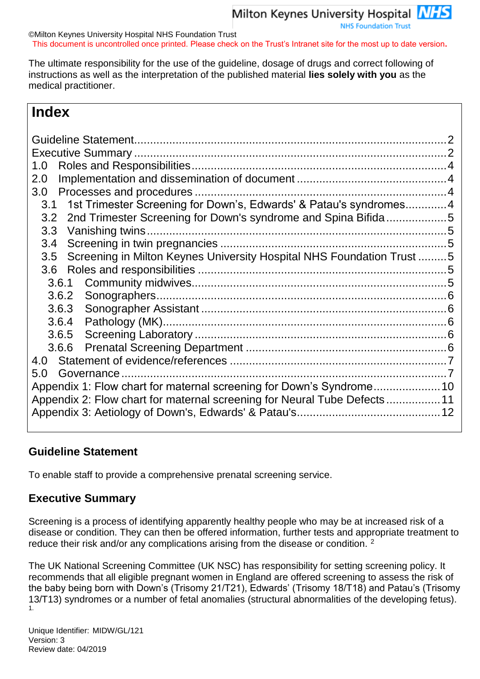**NHS Foundation Trust** 

©Milton Keynes University Hospital NHS Foundation Trust This document is uncontrolled once printed. Please check on the Trust's Intranet site for the most up to date version**.**

The ultimate responsibility for the use of the guideline, dosage of drugs and correct following of instructions as well as the interpretation of the published material **lies solely with you** as the medical practitioner.

# **Index**

| 1.0<br>2.0                                                                   |  |
|------------------------------------------------------------------------------|--|
| 3.0                                                                          |  |
| 1st Trimester Screening for Down's, Edwards' & Patau's syndromes4<br>3.1     |  |
| 2nd Trimester Screening for Down's syndrome and Spina Bifida5<br>3.2         |  |
| Vanishing twins.<br>3.3                                                      |  |
| 3.4                                                                          |  |
| Screening in Milton Keynes University Hospital NHS Foundation Trust 5<br>3.5 |  |
| 3.6                                                                          |  |
| 3.6.1                                                                        |  |
| 3.6.2                                                                        |  |
| 3.6.3                                                                        |  |
| 3.6.4                                                                        |  |
| 3.6.5                                                                        |  |
| 3.6.6                                                                        |  |
| 4.0                                                                          |  |
| 5.0<br>Governance.                                                           |  |
| Appendix 1: Flow chart for maternal screening for Down's Syndrome10          |  |
| Appendix 2: Flow chart for maternal screening for Neural Tube Defects11      |  |
|                                                                              |  |

## <span id="page-1-0"></span>**Guideline Statement**

To enable staff to provide a comprehensive prenatal screening service.

## <span id="page-1-1"></span>**Executive Summary**

Screening is a process of identifying apparently healthy people who may be at increased risk of a disease or condition. They can then be offered information, further tests and appropriate treatment to reduce their risk and/or any complications arising from the disease or condition. <sup>2</sup>

The UK National Screening Committee (UK NSC) has responsibility for setting screening policy. It recommends that all eligible pregnant women in England are offered screening to assess the risk of the baby being born with Down's (Trisomy 21/T21), Edwards' (Trisomy 18/T18) and Patau's (Trisomy 13/T13) syndromes or a number of fetal anomalies (structural abnormalities of the developing fetus). 1.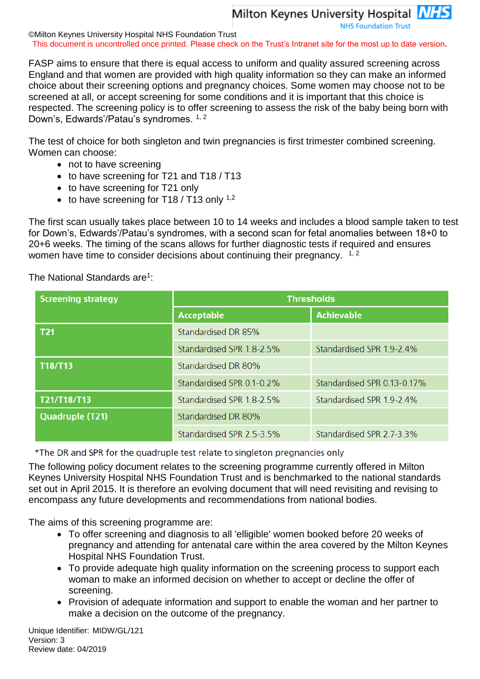**NHS Foundation Trust** 

©Milton Keynes University Hospital NHS Foundation Trust This document is uncontrolled once printed. Please check on the Trust's Intranet site for the most up to date version**.**

FASP aims to ensure that there is equal access to uniform and quality assured screening across England and that women are provided with high quality information so they can make an informed choice about their screening options and pregnancy choices. Some women may choose not to be screened at all, or accept screening for some conditions and it is important that this choice is respected. The screening policy is to offer screening to assess the risk of the baby being born with Down's, Edwards'/Patau's syndromes. <sup>1, 2</sup>

The test of choice for both singleton and twin pregnancies is first trimester combined screening. Women can choose:

- not to have screening
- to have screening for T21 and T18 / T13
- to have screening for T21 only
- to have screening for T18 / T13 only  $1,2$

The first scan usually takes place between 10 to 14 weeks and includes a blood sample taken to test for Down's, Edwards'/Patau's syndromes, with a second scan for fetal anomalies between 18+0 to 20+6 weeks. The timing of the scans allows for further diagnostic tests if required and ensures women have time to consider decisions about continuing their pregnancy.  $1, 2$ 

The National Standards are<sup>1</sup>:

| <b>Screening strategy</b> | <b>Thresholds</b>         |                             |  |  |  |
|---------------------------|---------------------------|-----------------------------|--|--|--|
|                           | <b>Acceptable</b>         | <b>Achievable</b>           |  |  |  |
| <b>T21</b>                | Standardised DR 85%       |                             |  |  |  |
|                           | Standardised SPR 1.8-2.5% | Standardised SPR 1.9-2.4%   |  |  |  |
| T18/T13                   | Standardised DR 80%       |                             |  |  |  |
|                           | Standardised SPR 0.1-0.2% | Standardised SPR 0.13-0.17% |  |  |  |
| T21/T18/T13               | Standardised SPR 1.8-2.5% | Standardised SPR 1.9-2.4%   |  |  |  |
| <b>Quadruple (T21)</b>    | Standardised DR 80%       |                             |  |  |  |
|                           | Standardised SPR 2.5-3.5% | Standardised SPR 2.7-3.3%   |  |  |  |

\*The DR and SPR for the quadruple test relate to singleton pregnancies only

The following policy document relates to the screening programme currently offered in Milton Keynes University Hospital NHS Foundation Trust and is benchmarked to the national standards set out in April 2015. It is therefore an evolving document that will need revisiting and revising to encompass any future developments and recommendations from national bodies.

The aims of this screening programme are:

- To offer screening and diagnosis to all 'elligible' women booked before 20 weeks of pregnancy and attending for antenatal care within the area covered by the Milton Keynes Hospital NHS Foundation Trust.
- To provide adequate high quality information on the screening process to support each woman to make an informed decision on whether to accept or decline the offer of screening.
- Provision of adequate information and support to enable the woman and her partner to make a decision on the outcome of the pregnancy.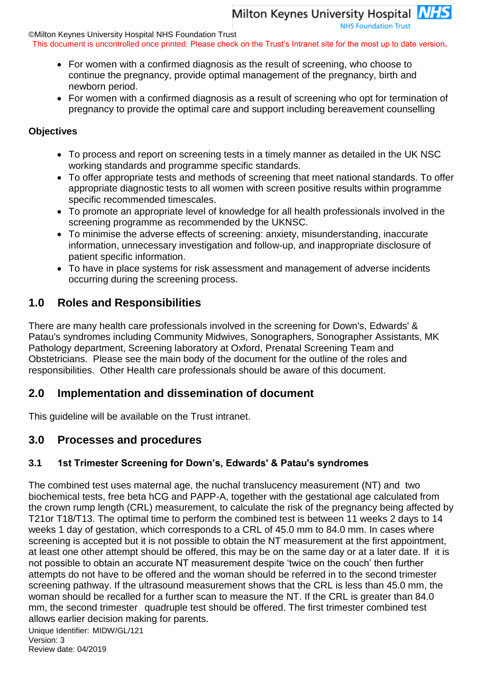Milton Keynes University Hospital **NHS NHS Foundation Trust** 

©Milton Keynes University Hospital NHS Foundation Trust

This document is uncontrolled once printed. Please check on the Trust's Intranet site for the most up to date version**.**

- For women with a confirmed diagnosis as the result of screening, who choose to continue the pregnancy, provide optimal management of the pregnancy, birth and newborn period.
- For women with a confirmed diagnosis as a result of screening who opt for termination of pregnancy to provide the optimal care and support including bereavement counselling

#### **Objectives**

- To process and report on screening tests in a timely manner as detailed in the UK NSC working standards and programme specific standards.
- To offer appropriate tests and methods of screening that meet national standards. To offer appropriate diagnostic tests to all women with screen positive results within programme specific recommended timescales.
- To promote an appropriate level of knowledge for all health professionals involved in the screening programme as recommended by the UKNSC.
- To minimise the adverse effects of screening: anxiety, misunderstanding, inaccurate information, unnecessary investigation and follow-up, and inappropriate disclosure of patient specific information.
- To have in place systems for risk assessment and management of adverse incidents occurring during the screening process.

## <span id="page-3-0"></span>**1.0 Roles and Responsibilities**

There are many health care professionals involved in the screening for Down's, Edwards' & Patau's syndromes including Community Midwives, Sonographers, Sonographer Assistants, MK Pathology department, Screening laboratory at Oxford, Prenatal Screening Team and Obstetricians. Please see the main body of the document for the outline of the roles and responsibilities. Other Health care professionals should be aware of this document.

## <span id="page-3-1"></span>**2.0 Implementation and dissemination of document**

This guideline will be available on the Trust intranet.

## <span id="page-3-2"></span>**3.0 Processes and procedures**

## <span id="page-3-3"></span>**3.1 1st Trimester Screening for Down's, Edwards' & Patau's syndromes**

The combined test uses maternal age, the nuchal translucency measurement (NT) and two biochemical tests, free beta hCG and PAPP-A, together with the gestational age calculated from the crown rump length (CRL) measurement, to calculate the risk of the pregnancy being affected by T21or T18/T13. The optimal time to perform the combined test is between 11 weeks 2 days to 14 weeks 1 day of gestation, which corresponds to a CRL of 45.0 mm to 84.0 mm. In cases where screening is accepted but it is not possible to obtain the NT measurement at the first appointment, at least one other attempt should be offered, this may be on the same day or at a later date. If it is not possible to obtain an accurate NT measurement despite 'twice on the couch' then further attempts do not have to be offered and the woman should be referred in to the second trimester screening pathway. If the ultrasound measurement shows that the CRL is less than 45.0 mm, the woman should be recalled for a further scan to measure the NT. If the CRL is greater than 84.0 mm, the second trimester quadruple test should be offered. The first trimester combined test allows earlier decision making for parents.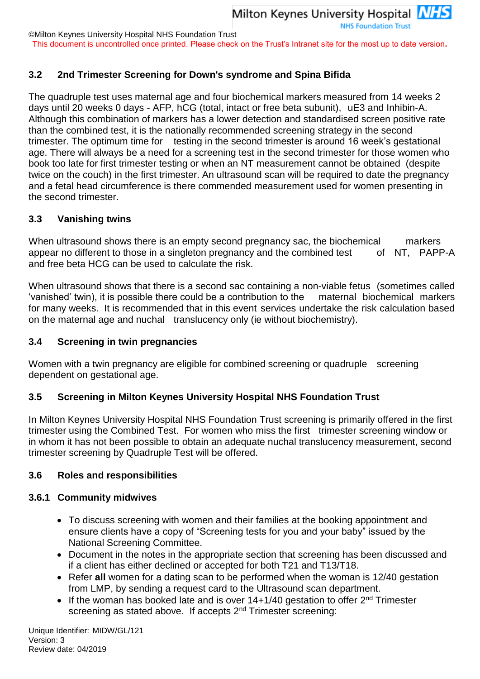**NHS Foundation Trust** 

©Milton Keynes University Hospital NHS Foundation Trust

This document is uncontrolled once printed. Please check on the Trust's Intranet site for the most up to date version**.**

### <span id="page-4-0"></span>**3.2 2nd Trimester Screening for Down's syndrome and Spina Bifida**

The quadruple test uses maternal age and four biochemical markers measured from 14 weeks 2 days until 20 weeks 0 days - AFP, hCG (total, intact or free beta subunit), uE3 and Inhibin-A. Although this combination of markers has a lower detection and standardised screen positive rate than the combined test, it is the nationally recommended screening strategy in the second trimester. The optimum time for testing in the second trimester is around 16 week's gestational age. There will always be a need for a screening test in the second trimester for those women who book too late for first trimester testing or when an NT measurement cannot be obtained (despite twice on the couch) in the first trimester. An ultrasound scan will be required to date the pregnancy and a fetal head circumference is there commended measurement used for women presenting in the second trimester.

#### <span id="page-4-1"></span>**3.3 Vanishing twins**

When ultrasound shows there is an empty second pregnancy sac, the biochemical markers appear no different to those in a singleton pregnancy and the combined test of NT, PAPP-A and free beta HCG can be used to calculate the risk.

When ultrasound shows that there is a second sac containing a non-viable fetus (sometimes called 'vanished' twin), it is possible there could be a contribution to the maternal biochemical markers for many weeks. It is recommended that in this event services undertake the risk calculation based on the maternal age and nuchal translucency only (ie without biochemistry).

#### <span id="page-4-2"></span>**3.4 Screening in twin pregnancies**

Women with a twin pregnancy are eligible for combined screening or quadruple screening dependent on gestational age.

#### <span id="page-4-3"></span>**3.5 Screening in Milton Keynes University Hospital NHS Foundation Trust**

In Milton Keynes University Hospital NHS Foundation Trust screening is primarily offered in the first trimester using the Combined Test. For women who miss the first trimester screening window or in whom it has not been possible to obtain an adequate nuchal translucency measurement, second trimester screening by Quadruple Test will be offered.

#### <span id="page-4-4"></span>**3.6 Roles and responsibilities**

#### <span id="page-4-5"></span>**3.6.1 Community midwives**

- To discuss screening with women and their families at the booking appointment and ensure clients have a copy of "Screening tests for you and your baby" issued by the National Screening Committee.
- Document in the notes in the appropriate section that screening has been discussed and if a client has either declined or accepted for both T21 and T13/T18.
- Refer **all** women for a dating scan to be performed when the woman is 12/40 gestation from LMP, by sending a request card to the Ultrasound scan department.
- If the woman has booked late and is over  $14+1/40$  gestation to offer  $2^{nd}$  Trimester screening as stated above. If accepts 2<sup>nd</sup> Trimester screening: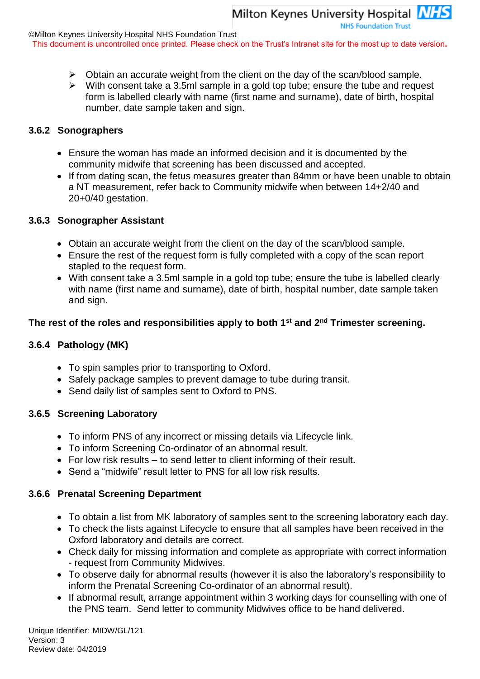**NHS Foundation Trust** 

This document is uncontrolled once printed. Please check on the Trust's Intranet site for the most up to date version**.**

- ➢ Obtain an accurate weight from the client on the day of the scan/blood sample.
- ➢ With consent take a 3.5ml sample in a gold top tube; ensure the tube and request form is labelled clearly with name (first name and surname), date of birth, hospital number, date sample taken and sign.

#### <span id="page-5-0"></span>**3.6.2 Sonographers**

- Ensure the woman has made an informed decision and it is documented by the community midwife that screening has been discussed and accepted.
- If from dating scan, the fetus measures greater than 84mm or have been unable to obtain a NT measurement, refer back to Community midwife when between 14+2/40 and 20+0/40 gestation.

#### <span id="page-5-1"></span>**3.6.3 Sonographer Assistant**

- Obtain an accurate weight from the client on the day of the scan/blood sample.
- Ensure the rest of the request form is fully completed with a copy of the scan report stapled to the request form.
- With consent take a 3.5ml sample in a gold top tube; ensure the tube is labelled clearly with name (first name and surname), date of birth, hospital number, date sample taken and sign.

#### **The rest of the roles and responsibilities apply to both 1st and 2nd Trimester screening.**

#### <span id="page-5-2"></span>**3.6.4 Pathology (MK)**

- To spin samples prior to transporting to Oxford.
- Safely package samples to prevent damage to tube during transit.
- Send daily list of samples sent to Oxford to PNS.

#### <span id="page-5-3"></span>**3.6.5 Screening Laboratory**

- To inform PNS of any incorrect or missing details via Lifecycle link.
- To inform Screening Co-ordinator of an abnormal result.
- For low risk results to send letter to client informing of their result**.**
- Send a "midwife" result letter to PNS for all low risk results.

#### <span id="page-5-4"></span>**3.6.6 Prenatal Screening Department**

- To obtain a list from MK laboratory of samples sent to the screening laboratory each day.
- To check the lists against Lifecycle to ensure that all samples have been received in the Oxford laboratory and details are correct.
- Check daily for missing information and complete as appropriate with correct information - request from Community Midwives.
- To observe daily for abnormal results (however it is also the laboratory's responsibility to inform the Prenatal Screening Co-ordinator of an abnormal result).
- If abnormal result, arrange appointment within 3 working days for counselling with one of the PNS team. Send letter to community Midwives office to be hand delivered.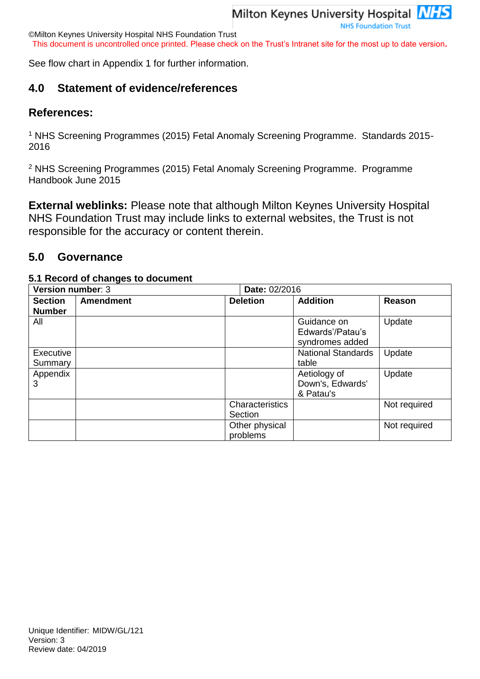©Milton Keynes University Hospital NHS Foundation Trust

This document is uncontrolled once printed. Please check on the Trust's Intranet site for the most up to date version**.**

See flow chart in Appendix 1 for further information.

## <span id="page-6-0"></span>**4.0 Statement of evidence/references**

#### **References:**

<sup>1</sup> NHS Screening Programmes (2015) Fetal Anomaly Screening Programme. Standards 2015- 2016

<sup>2</sup> NHS Screening Programmes (2015) Fetal Anomaly Screening Programme. Programme Handbook June 2015

**External weblinks:** Please note that although Milton Keynes University Hospital NHS Foundation Trust may include links to external websites, the Trust is not responsible for the accuracy or content therein.

### <span id="page-6-1"></span>**5.0 Governance**

#### **5.1 Record of changes to document**

| Version number: 3<br>Date: 02/2016 |                  |                            |                                                    |              |  |
|------------------------------------|------------------|----------------------------|----------------------------------------------------|--------------|--|
| <b>Section</b><br><b>Number</b>    | <b>Amendment</b> | <b>Deletion</b>            | <b>Addition</b>                                    | Reason       |  |
| All                                |                  |                            | Guidance on<br>Edwards'/Patau's<br>syndromes added | Update       |  |
| Executive<br>Summary               |                  |                            | <b>National Standards</b><br>table                 | Update       |  |
| Appendix<br>3                      |                  |                            | Aetiology of<br>Down's, Edwards'<br>& Patau's      | Update       |  |
|                                    |                  | Characteristics<br>Section |                                                    | Not required |  |
|                                    |                  | Other physical<br>problems |                                                    | Not required |  |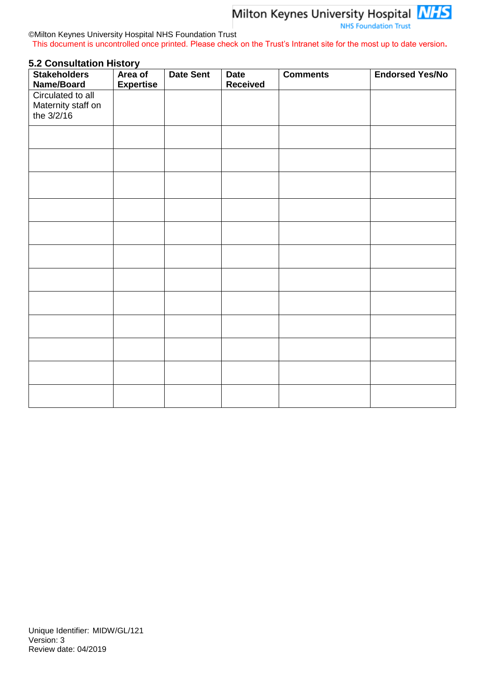**NHS Foundation Trust** 

#### ©Milton Keynes University Hospital NHS Foundation Trust This document is uncontrolled once printed. Please check on the Trust's Intranet site for the most up to date version**.**

#### **5.2 Consultation History**

| <b>Stakeholders</b><br>Name/Board                     | Area of<br><b>Expertise</b> | <b>Date Sent</b> | <b>Date</b><br><b>Received</b> | <b>Comments</b> | <b>Endorsed Yes/No</b> |
|-------------------------------------------------------|-----------------------------|------------------|--------------------------------|-----------------|------------------------|
| Circulated to all<br>Maternity staff on<br>the 3/2/16 |                             |                  |                                |                 |                        |
|                                                       |                             |                  |                                |                 |                        |
|                                                       |                             |                  |                                |                 |                        |
|                                                       |                             |                  |                                |                 |                        |
|                                                       |                             |                  |                                |                 |                        |
|                                                       |                             |                  |                                |                 |                        |
|                                                       |                             |                  |                                |                 |                        |
|                                                       |                             |                  |                                |                 |                        |
|                                                       |                             |                  |                                |                 |                        |
|                                                       |                             |                  |                                |                 |                        |
|                                                       |                             |                  |                                |                 |                        |
|                                                       |                             |                  |                                |                 |                        |
|                                                       |                             |                  |                                |                 |                        |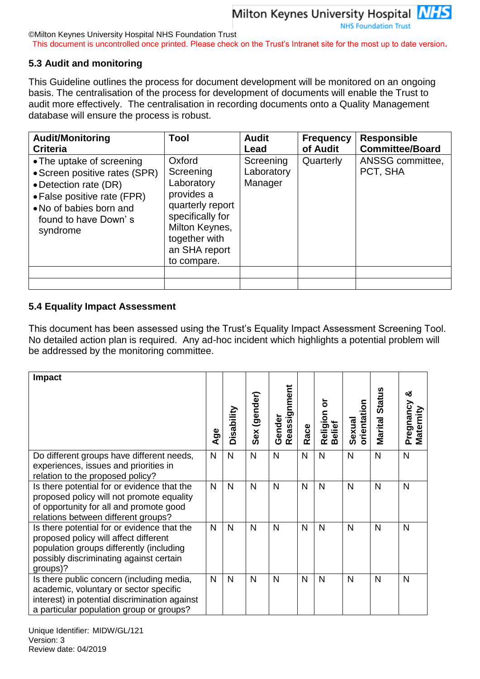©Milton Keynes University Hospital NHS Foundation Trust

This document is uncontrolled once printed. Please check on the Trust's Intranet site for the most up to date version**.**

#### **5.3 Audit and monitoring**

This Guideline outlines the process for document development will be monitored on an ongoing basis. The centralisation of the process for development of documents will enable the Trust to audit more effectively. The centralisation in recording documents onto a Quality Management database will ensure the process is robust.

| <b>Audit/Monitoring</b><br><b>Criteria</b>                                                                                                                                        | Tool                                                                                                                                                       | <b>Audit</b><br>Lead               | <b>Frequency</b><br>of Audit | <b>Responsible</b><br><b>Committee/Board</b> |
|-----------------------------------------------------------------------------------------------------------------------------------------------------------------------------------|------------------------------------------------------------------------------------------------------------------------------------------------------------|------------------------------------|------------------------------|----------------------------------------------|
| • The uptake of screening<br>• Screen positive rates (SPR)<br>• Detection rate (DR)<br>• False positive rate (FPR)<br>• No of babies born and<br>found to have Down's<br>syndrome | Oxford<br>Screening<br>Laboratory<br>provides a<br>quarterly report<br>specifically for<br>Milton Keynes,<br>together with<br>an SHA report<br>to compare. | Screening<br>Laboratory<br>Manager | Quarterly                    | ANSSG committee,<br>PCT, SHA                 |
|                                                                                                                                                                                   |                                                                                                                                                            |                                    |                              |                                              |

#### **5.4 Equality Impact Assessment**

This document has been assessed using the Trust's Equality Impact Assessment Screening Tool. No detailed action plan is required. Any ad-hoc incident which highlights a potential problem will be addressed by the monitoring committee.

| <b>Impact</b>                                                                                                                                                                           | Age | Disability | Sex (gender) | Reassignment<br>Gender | Race         | ৯<br>Religion<br>Belief | orientation<br>Sexual | <b>Marital Status</b> | య<br>Pregnancy<br>Maternity |
|-----------------------------------------------------------------------------------------------------------------------------------------------------------------------------------------|-----|------------|--------------|------------------------|--------------|-------------------------|-----------------------|-----------------------|-----------------------------|
| Do different groups have different needs,<br>experiences, issues and priorities in<br>relation to the proposed policy?                                                                  | N   | N          | $\mathsf{N}$ | $\mathsf{N}$           | $\mathsf{N}$ | $\mathsf{N}$            | $\mathsf{N}$          | $\mathsf{N}$          | N                           |
| Is there potential for or evidence that the<br>proposed policy will not promote equality<br>of opportunity for all and promote good<br>relations between different groups?              | N   | N          | $\mathsf{N}$ | N                      | $\mathsf{N}$ | $\mathsf{N}$            | N                     | N                     | N                           |
| Is there potential for or evidence that the<br>proposed policy will affect different<br>population groups differently (including<br>possibly discriminating against certain<br>groups)? | N   | N          | N            | N                      | N            | $\mathsf{N}$            | $\mathsf{N}$          | N                     | N                           |
| Is there public concern (including media,<br>academic, voluntary or sector specific<br>interest) in potential discrimination against<br>a particular population group or groups?        | N   | N          | N            | N                      | N            | $\mathsf{N}$            | N                     | N                     | N                           |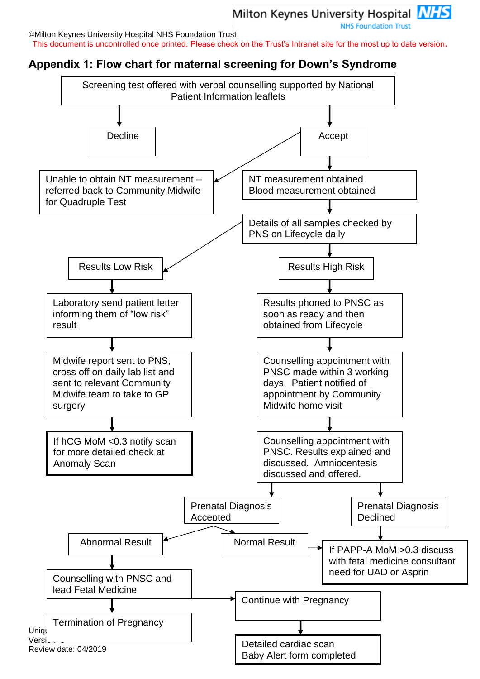**NHS Foundation Trust** 

©Milton Keynes University Hospital NHS Foundation Trust

This document is uncontrolled once printed. Please check on the Trust's Intranet site for the most up to date version**.**

# <span id="page-9-0"></span>**Appendix 1: Flow chart for maternal screening for Down's Syndrome**

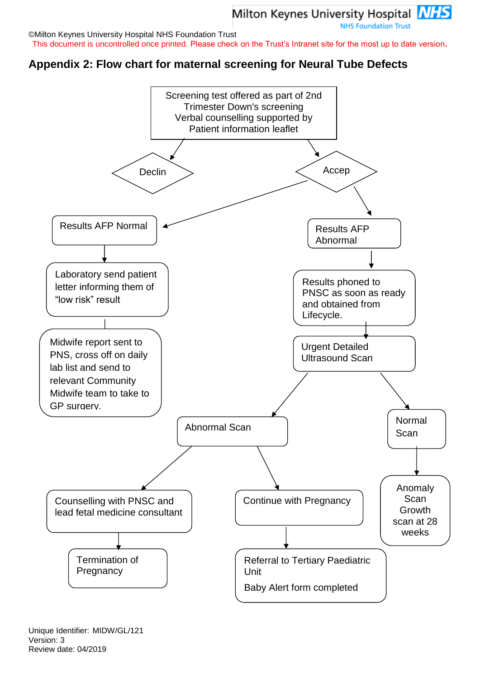**NHS Foundation Trust** 

©Milton Keynes University Hospital NHS Foundation Trust This document is uncontrolled once printed. Please check on the Trust's Intranet site for the most up to date version**.**

## <span id="page-10-0"></span>**Appendix 2: Flow chart for maternal screening for Neural Tube Defects**